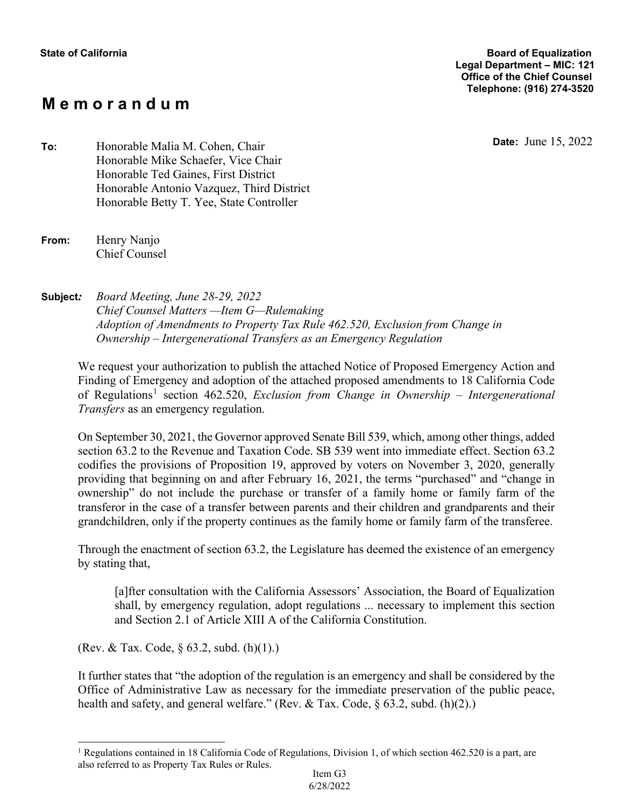# **M e m o r a n d u m**

**Date:** June 15, 2022 **To:** Honorable Malia M. Cohen, Chair Honorable Mike Schaefer, Vice Chair Honorable Ted Gaines, First District Honorable Antonio Vazquez, Third District Honorable Betty T. Yee, State Controller

**Subject***: Board Meeting, June 28-29, 2022 Chief Counsel Matters —Item G—Rulemaking Adoption of Amendments to Property Tax Rule 462.520, Exclusion from Change in Ownership – Intergenerational Transfers as an Emergency Regulation*

We request your authorization to publish the attached Notice of Proposed Emergency Action and Finding of Emergency and adoption of the attached proposed amendments to 18 California Code of Regulations<sup>1</sup> section 462.520, *Exclusion from Change in Ownership – Intergenerational Transfers* as an emergency regulation.

On September 30, 2021, the Governor approved Senate Bill 539, which, among other things, added section 63.2 to the Revenue and Taxation Code. SB 539 went into immediate effect. Section 63.2 codifies the provisions of Proposition 19, approved by voters on November 3, 2020, generally providing that beginning on and after February 16, 2021, the terms "purchased" and "change in ownership" do not include the purchase or transfer of a family home or family farm of the transferor in the case of a transfer between parents and their children and grandparents and their grandchildren, only if the property continues as the family home or family farm of the transferee.

Through the enactment of section 63.2, the Legislature has deemed the existence of an emergency by stating that,

[a]fter consultation with the California Assessors' Association, the Board of Equalization shall, by emergency regulation, adopt regulations ... necessary to implement this section and Section 2.1 of Article XIII A of the California Constitution.

(Rev. & Tax. Code, § 63.2, subd. (h)(1).)

It further states that "the adoption of the regulation is an emergency and shall be considered by the Office of Administrative Law as necessary for the immediate preservation of the public peace, health and safety, and general welfare." (Rev. & Tax. Code, § 63.2, subd. (h)(2).)

**From:** Henry Nanjo Chief Counsel

<sup>&</sup>lt;sup>1</sup> Regulations contained in 18 California Code of Regulations, Division 1, of which section 462.520 is a part, are also referred to as Property Tax Rules or Rules. Item G3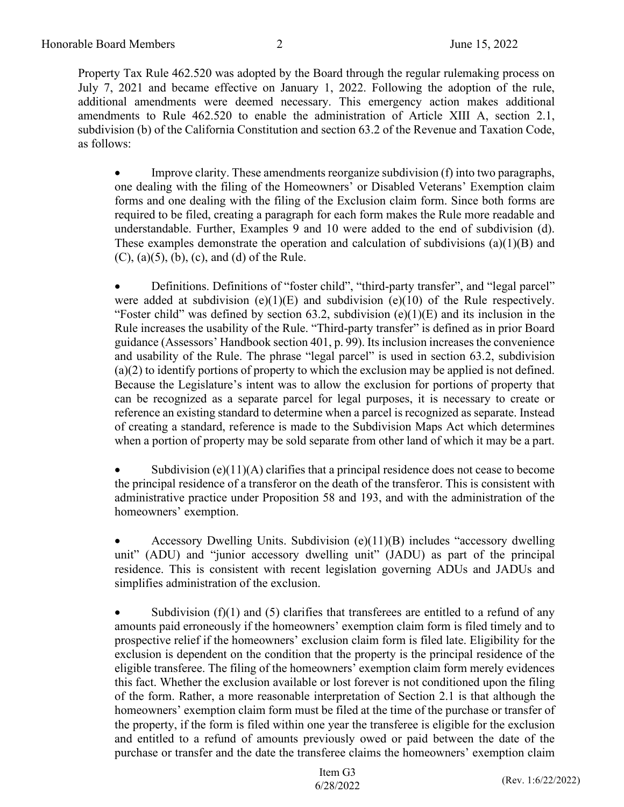Property Tax Rule 462.520 was adopted by the Board through the regular rulemaking process on July 7, 2021 and became effective on January 1, 2022. Following the adoption of the rule, additional amendments were deemed necessary. This emergency action makes additional amendments to Rule 462.520 to enable the administration of Article XIII A, section 2.1, subdivision (b) of the California Constitution and section 63.2 of the Revenue and Taxation Code, as follows:

• Improve clarity. These amendments reorganize subdivision (f) into two paragraphs, one dealing with the filing of the Homeowners' or Disabled Veterans' Exemption claim forms and one dealing with the filing of the Exclusion claim form. Since both forms are required to be filed, creating a paragraph for each form makes the Rule more readable and understandable. Further, Examples 9 and 10 were added to the end of subdivision (d). These examples demonstrate the operation and calculation of subdivisions (a)(1)(B) and  $(C)$ ,  $(a)(5)$ ,  $(b)$ ,  $(c)$ , and  $(d)$  of the Rule.

• Definitions. Definitions of "foster child", "third-party transfer", and "legal parcel" were added at subdivision  $(e)(1)(E)$  and subdivision  $(e)(10)$  of the Rule respectively. "Foster child" was defined by section 63.2, subdivision  $(e)(1)(E)$  and its inclusion in the Rule increases the usability of the Rule. "Third-party transfer" is defined as in prior Board guidance (Assessors' Handbook section 401, p. 99). Its inclusion increases the convenience and usability of the Rule. The phrase "legal parcel" is used in section 63.2, subdivision (a)(2) to identify portions of property to which the exclusion may be applied is not defined. Because the Legislature's intent was to allow the exclusion for portions of property that can be recognized as a separate parcel for legal purposes, it is necessary to create or reference an existing standard to determine when a parcel is recognized as separate. Instead of creating a standard, reference is made to the Subdivision Maps Act which determines when a portion of property may be sold separate from other land of which it may be a part.

Subdivision (e) $(11)(A)$  clarifies that a principal residence does not cease to become the principal residence of a transferor on the death of the transferor. This is consistent with administrative practice under Proposition 58 and 193, and with the administration of the homeowners' exemption.

• Accessory Dwelling Units. Subdivision (e)(11)(B) includes "accessory dwelling unit" (ADU) and "junior accessory dwelling unit" (JADU) as part of the principal residence. This is consistent with recent legislation governing ADUs and JADUs and simplifies administration of the exclusion.

• Subdivision (f)(1) and (5) clarifies that transferees are entitled to a refund of any amounts paid erroneously if the homeowners' exemption claim form is filed timely and to prospective relief if the homeowners' exclusion claim form is filed late. Eligibility for the exclusion is dependent on the condition that the property is the principal residence of the eligible transferee. The filing of the homeowners' exemption claim form merely evidences this fact. Whether the exclusion available or lost forever is not conditioned upon the filing of the form. Rather, a more reasonable interpretation of Section 2.1 is that although the homeowners' exemption claim form must be filed at the time of the purchase or transfer of the property, if the form is filed within one year the transferee is eligible for the exclusion and entitled to a refund of amounts previously owed or paid between the date of the purchase or transfer and the date the transferee claims the homeowners' exemption claim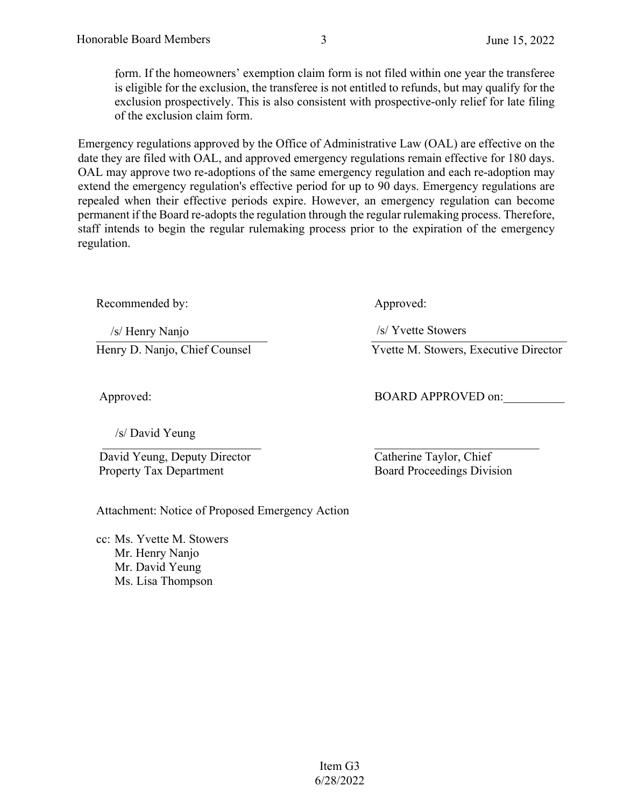form. If the homeowners' exemption claim form is not filed within one year the transferee is eligible for the exclusion, the transferee is not entitled to refunds, but may qualify for the exclusion prospectively. This is also consistent with prospective-only relief for late filing of the exclusion claim form.

Emergency regulations approved by the Office of Administrative Law (OAL) are effective on the date they are filed with OAL, and approved emergency regulations remain effective for 180 days. OAL may approve two re-adoptions of the same emergency regulation and each re-adoption may extend the emergency regulation's effective period for up to 90 days. Emergency regulations are repealed when their effective periods expire. However, an emergency regulation can become permanent if the Board re-adopts the regulation through the regular rulemaking process. Therefore, staff intends to begin the regular rulemaking process prior to the expiration of the emergency regulation.

Recommended by: Approved:

 $\frac{1}{|S|}$  Henry Nanjo /s/ Henry Nanjo

/s/ David Yeung

 David Yeung, Deputy Director Property Tax Department

Attachment: Notice of Proposed Emergency Action

cc: Ms. Yvette M. Stowers Mr. Henry Nanjo Mr. David Yeung Ms. Lisa Thompson

/s/ Yvette Stowers

Henry D. Nanjo, Chief Counsel Yvette M. Stowers, Executive Director

Approved: BOARD APPROVED on:

 $\overline{\sigma}$  , and the contract of  $\sigma$ Catherine Taylor, Chief Board Proceedings Division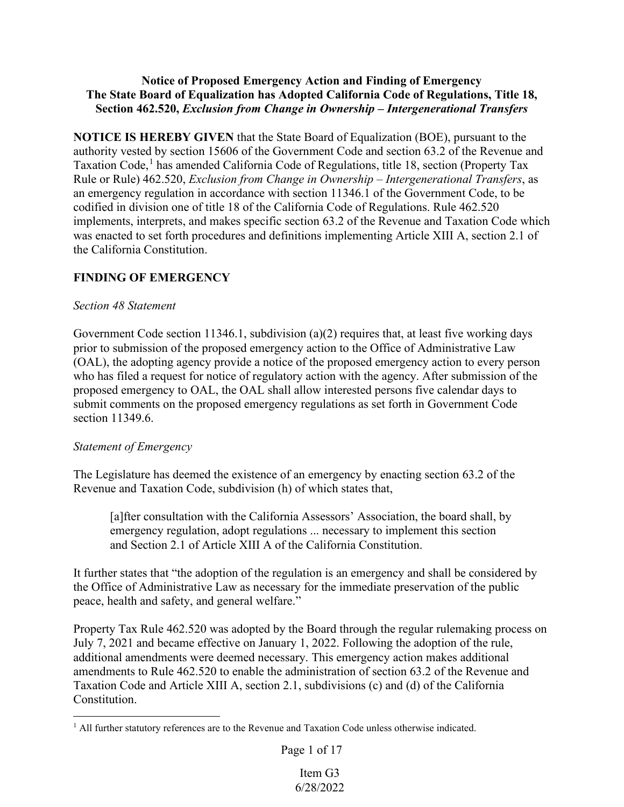## **Notice of Proposed Emergency Action and Finding of Emergency The State Board of Equalization has Adopted California Code of Regulations, Title 18, Section 462.520,** *Exclusion from Change in Ownership – Intergenerational Transfers*

**NOTICE IS HEREBY GIVEN** that the State Board of Equalization (BOE), pursuant to the authority vested by section 15606 of the Government Code and section 63.2 of the Revenue and Taxation Code,<sup>1</sup> has amended California Code of Regulations, title 18, section (Property Tax Rule or Rule) 462.520, *Exclusion from Change in Ownership – Intergenerational Transfers*, as an emergency regulation in accordance with section 11346.1 of the Government Code, to be codified in division one of title 18 of the California Code of Regulations. Rule 462.520 implements, interprets, and makes specific section 63.2 of the Revenue and Taxation Code which was enacted to set forth procedures and definitions implementing Article XIII A, section 2.1 of the California Constitution.

## **FINDING OF EMERGENCY**

## *Section 48 Statement*

Government Code section 11346.1, subdivision (a)(2) requires that, at least five working days prior to submission of the proposed emergency action to the Office of Administrative Law (OAL), the adopting agency provide a notice of the proposed emergency action to every person who has filed a request for notice of regulatory action with the agency. After submission of the proposed emergency to OAL, the OAL shall allow interested persons five calendar days to submit comments on the proposed emergency regulations as set forth in Government Code section 11349.6.

## *Statement of Emergency*

The Legislature has deemed the existence of an emergency by enacting section 63.2 of the Revenue and Taxation Code, subdivision (h) of which states that,

[a]fter consultation with the California Assessors' Association, the board shall, by emergency regulation, adopt regulations ... necessary to implement this section and Section 2.1 of Article XIII A of the California Constitution.

It further states that "the adoption of the regulation is an emergency and shall be considered by the Office of Administrative Law as necessary for the immediate preservation of the public peace, health and safety, and general welfare."

Property Tax Rule 462.520 was adopted by the Board through the regular rulemaking process on July 7, 2021 and became effective on January 1, 2022. Following the adoption of the rule, additional amendments were deemed necessary. This emergency action makes additional amendments to Rule 462.520 to enable the administration of section 63.2 of the Revenue and Taxation Code and Article XIII A, section 2.1, subdivisions (c) and (d) of the California Constitution.

Page 1 of 17

<sup>&</sup>lt;sup>1</sup> All further statutory references are to the Revenue and Taxation Code unless otherwise indicated.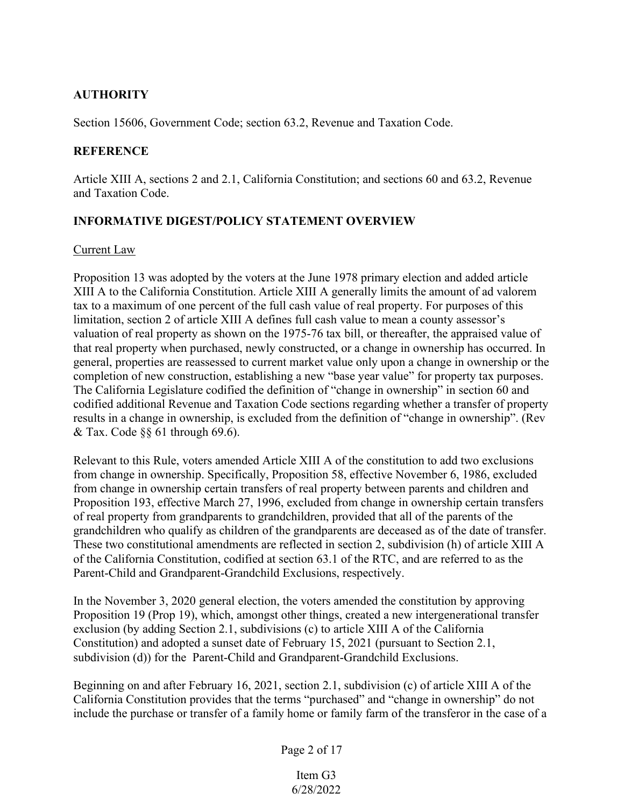## **AUTHORITY**

Section 15606, Government Code; section 63.2, Revenue and Taxation Code.

## **REFERENCE**

Article XIII A, sections 2 and 2.1, California Constitution; and sections 60 and 63.2, Revenue and Taxation Code.

## **INFORMATIVE DIGEST/POLICY STATEMENT OVERVIEW**

## Current Law

Proposition 13 was adopted by the voters at the June 1978 primary election and added article XIII A to the California Constitution. Article XIII A generally limits the amount of ad valorem tax to a maximum of one percent of the full cash value of real property. For purposes of this limitation, section 2 of article XIII A defines full cash value to mean a county assessor's valuation of real property as shown on the 1975-76 tax bill, or thereafter, the appraised value of that real property when purchased, newly constructed, or a change in ownership has occurred. In general, properties are reassessed to current market value only upon a change in ownership or the completion of new construction, establishing a new "base year value" for property tax purposes. The California Legislature codified the definition of "change in ownership" in section 60 and codified additional Revenue and Taxation Code sections regarding whether a transfer of property results in a change in ownership, is excluded from the definition of "change in ownership". (Rev & Tax. Code  $\S$ § 61 through 69.6).

Relevant to this Rule, voters amended Article XIII A of the constitution to add two exclusions from change in ownership. Specifically, Proposition 58, effective November 6, 1986, excluded from change in ownership certain transfers of real property between parents and children and Proposition 193, effective March 27, 1996, excluded from change in ownership certain transfers of real property from grandparents to grandchildren, provided that all of the parents of the grandchildren who qualify as children of the grandparents are deceased as of the date of transfer. These two constitutional amendments are reflected in section 2, subdivision (h) of article XIII A of the California Constitution, codified at section 63.1 of the RTC, and are referred to as the Parent-Child and Grandparent-Grandchild Exclusions, respectively.

In the November 3, 2020 general election, the voters amended the constitution by approving Proposition 19 (Prop 19), which, amongst other things, created a new intergenerational transfer exclusion (by adding Section 2.1, subdivisions (c) to article XIII A of the California Constitution) and adopted a sunset date of February 15, 2021 (pursuant to Section 2.1, subdivision (d)) for the Parent-Child and Grandparent-Grandchild Exclusions.

Beginning on and after February 16, 2021, section 2.1, subdivision (c) of article XIII A of the California Constitution provides that the terms "purchased" and "change in ownership" do not include the purchase or transfer of a family home or family farm of the transferor in the case of a

## Page 2 of 17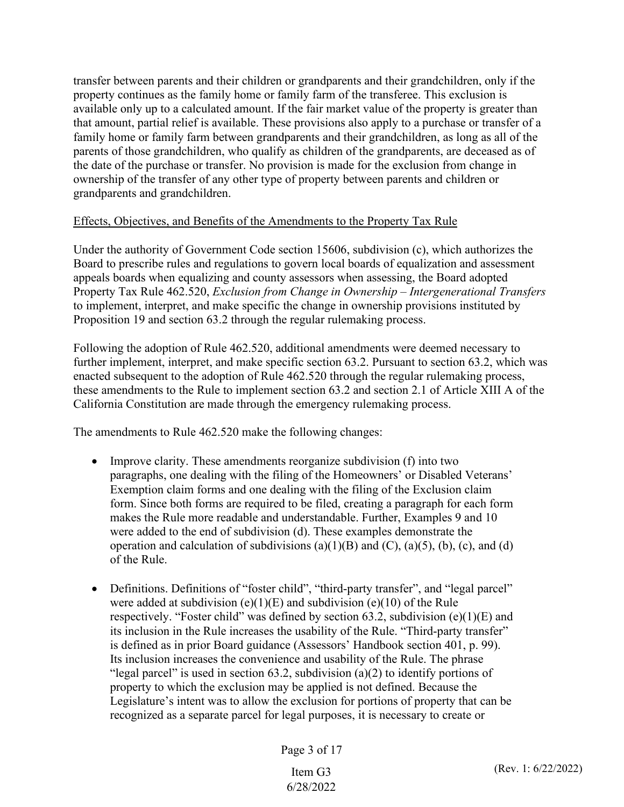transfer between parents and their children or grandparents and their grandchildren, only if the property continues as the family home or family farm of the transferee. This exclusion is available only up to a calculated amount. If the fair market value of the property is greater than that amount, partial relief is available. These provisions also apply to a purchase or transfer of a family home or family farm between grandparents and their grandchildren, as long as all of the parents of those grandchildren, who qualify as children of the grandparents, are deceased as of the date of the purchase or transfer. No provision is made for the exclusion from change in ownership of the transfer of any other type of property between parents and children or grandparents and grandchildren.

## Effects, Objectives, and Benefits of the Amendments to the Property Tax Rule

Under the authority of Government Code section 15606, subdivision (c), which authorizes the Board to prescribe rules and regulations to govern local boards of equalization and assessment appeals boards when equalizing and county assessors when assessing, the Board adopted Property Tax Rule 462.520, *Exclusion from Change in Ownership – Intergenerational Transfers* to implement, interpret, and make specific the change in ownership provisions instituted by Proposition 19 and section 63.2 through the regular rulemaking process.

Following the adoption of Rule 462.520, additional amendments were deemed necessary to further implement, interpret, and make specific section 63.2. Pursuant to section 63.2, which was enacted subsequent to the adoption of Rule 462.520 through the regular rulemaking process, these amendments to the Rule to implement section 63.2 and section 2.1 of Article XIII A of the California Constitution are made through the emergency rulemaking process.

The amendments to Rule 462.520 make the following changes:

- Improve clarity. These amendments reorganize subdivision (f) into two paragraphs, one dealing with the filing of the Homeowners' or Disabled Veterans' Exemption claim forms and one dealing with the filing of the Exclusion claim form. Since both forms are required to be filed, creating a paragraph for each form makes the Rule more readable and understandable. Further, Examples 9 and 10 were added to the end of subdivision (d). These examples demonstrate the operation and calculation of subdivisions  $(a)(1)(B)$  and  $(C)$ ,  $(a)(5)$ ,  $(b)$ ,  $(c)$ , and  $(d)$ of the Rule.
- Definitions. Definitions of "foster child", "third-party transfer", and "legal parcel" were added at subdivision  $(e)(1)(E)$  and subdivision  $(e)(10)$  of the Rule respectively. "Foster child" was defined by section 63.2, subdivision  $(e)(1)(E)$  and its inclusion in the Rule increases the usability of the Rule. "Third-party transfer" is defined as in prior Board guidance (Assessors' Handbook section 401, p. 99). Its inclusion increases the convenience and usability of the Rule. The phrase "legal parcel" is used in section 63.2, subdivision (a)(2) to identify portions of property to which the exclusion may be applied is not defined. Because the Legislature's intent was to allow the exclusion for portions of property that can be recognized as a separate parcel for legal purposes, it is necessary to create or

Page 3 of 17

6/28/2022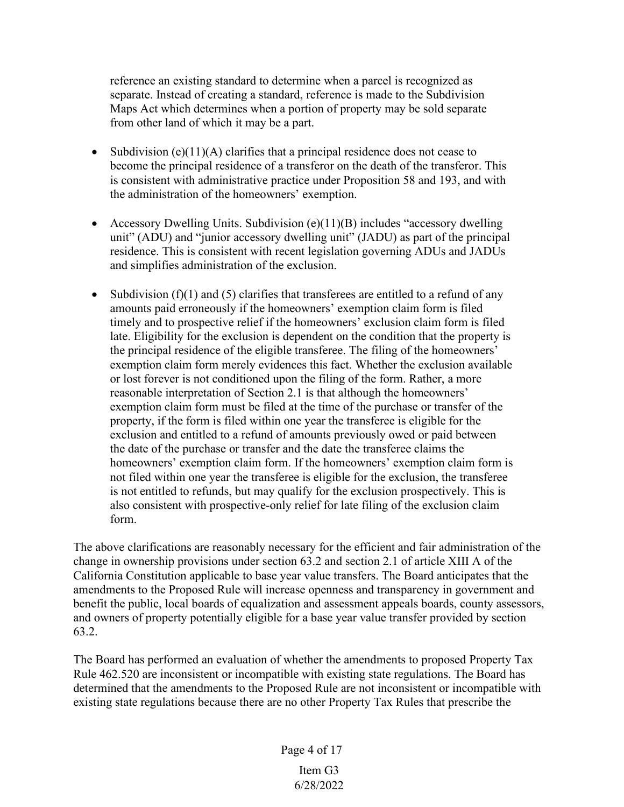reference an existing standard to determine when a parcel is recognized as separate. Instead of creating a standard, reference is made to the Subdivision Maps Act which determines when a portion of property may be sold separate from other land of which it may be a part.

- Subdivision (e)(11)(A) clarifies that a principal residence does not cease to become the principal residence of a transferor on the death of the transferor. This is consistent with administrative practice under Proposition 58 and 193, and with the administration of the homeowners' exemption.
- Accessory Dwelling Units. Subdivision  $(e)(11)(B)$  includes "accessory dwelling unit" (ADU) and "junior accessory dwelling unit" (JADU) as part of the principal residence. This is consistent with recent legislation governing ADUs and JADUs and simplifies administration of the exclusion.
- Subdivision (f)(1) and (5) clarifies that transferees are entitled to a refund of any amounts paid erroneously if the homeowners' exemption claim form is filed timely and to prospective relief if the homeowners' exclusion claim form is filed late. Eligibility for the exclusion is dependent on the condition that the property is the principal residence of the eligible transferee. The filing of the homeowners' exemption claim form merely evidences this fact. Whether the exclusion available or lost forever is not conditioned upon the filing of the form. Rather, a more reasonable interpretation of Section 2.1 is that although the homeowners' exemption claim form must be filed at the time of the purchase or transfer of the property, if the form is filed within one year the transferee is eligible for the exclusion and entitled to a refund of amounts previously owed or paid between the date of the purchase or transfer and the date the transferee claims the homeowners' exemption claim form. If the homeowners' exemption claim form is not filed within one year the transferee is eligible for the exclusion, the transferee is not entitled to refunds, but may qualify for the exclusion prospectively. This is also consistent with prospective-only relief for late filing of the exclusion claim form.

The above clarifications are reasonably necessary for the efficient and fair administration of the change in ownership provisions under section 63.2 and section 2.1 of article XIII A of the California Constitution applicable to base year value transfers. The Board anticipates that the amendments to the Proposed Rule will increase openness and transparency in government and benefit the public, local boards of equalization and assessment appeals boards, county assessors, and owners of property potentially eligible for a base year value transfer provided by section 63.2.

The Board has performed an evaluation of whether the amendments to proposed Property Tax Rule 462.520 are inconsistent or incompatible with existing state regulations. The Board has determined that the amendments to the Proposed Rule are not inconsistent or incompatible with existing state regulations because there are no other Property Tax Rules that prescribe the

Page 4 of 17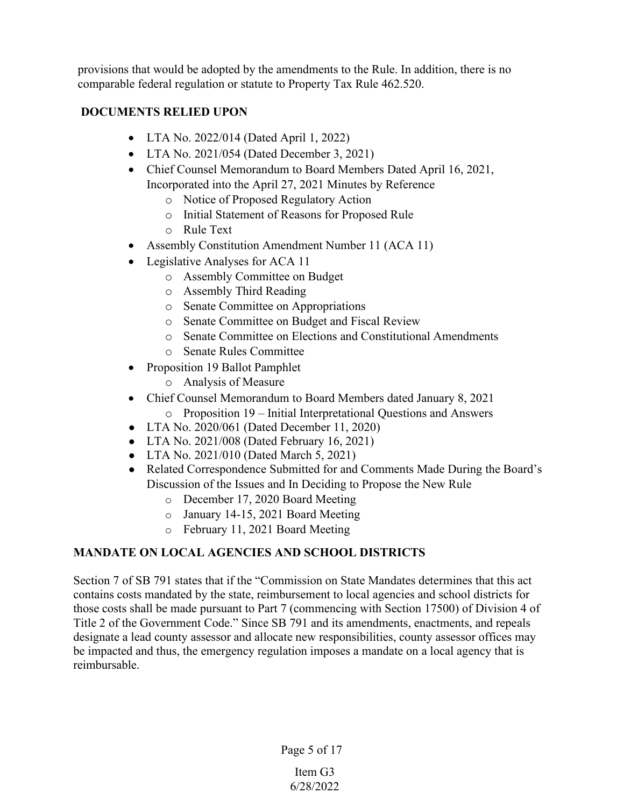provisions that would be adopted by the amendments to the Rule. In addition, there is no comparable federal regulation or statute to Property Tax Rule 462.520.

## **DOCUMENTS RELIED UPON**

- LTA No. 2022/014 (Dated April 1, 2022)
- LTA No. 2021/054 (Dated December 3, 2021)
- Chief Counsel Memorandum to Board Members Dated April 16, 2021, Incorporated into the April 27, 2021 Minutes by Reference
	- o Notice of Proposed Regulatory Action
	- o Initial Statement of Reasons for Proposed Rule
	- o Rule Text
- Assembly Constitution Amendment Number 11 (ACA 11)
- Legislative Analyses for ACA 11
	- o Assembly Committee on Budget
	- o Assembly Third Reading
	- o Senate Committee on Appropriations
	- o Senate Committee on Budget and Fiscal Review
	- o Senate Committee on Elections and Constitutional Amendments
	- o Senate Rules Committee
- Proposition 19 Ballot Pamphlet
	- o Analysis of Measure
- Chief Counsel Memorandum to Board Members dated January 8, 2021
	- o Proposition 19 Initial Interpretational Questions and Answers
- LTA No. 2020/061 (Dated December 11, 2020)
- LTA No. 2021/008 (Dated February 16, 2021)
- LTA No. 2021/010 (Dated March 5, 2021)
- Related Correspondence Submitted for and Comments Made During the Board's Discussion of the Issues and In Deciding to Propose the New Rule
	- o December 17, 2020 Board Meeting
	- o January 14-15, 2021 Board Meeting
	- o February 11, 2021 Board Meeting

## **MANDATE ON LOCAL AGENCIES AND SCHOOL DISTRICTS**

Section 7 of SB 791 states that if the "Commission on State Mandates determines that this act contains costs mandated by the state, reimbursement to local agencies and school districts for those costs shall be made pursuant to Part 7 (commencing with Section 17500) of Division 4 of Title 2 of the Government Code." Since SB 791 and its amendments, enactments, and repeals designate a lead county assessor and allocate new responsibilities, county assessor offices may be impacted and thus, the emergency regulation imposes a mandate on a local agency that is reimbursable.

Page 5 of 17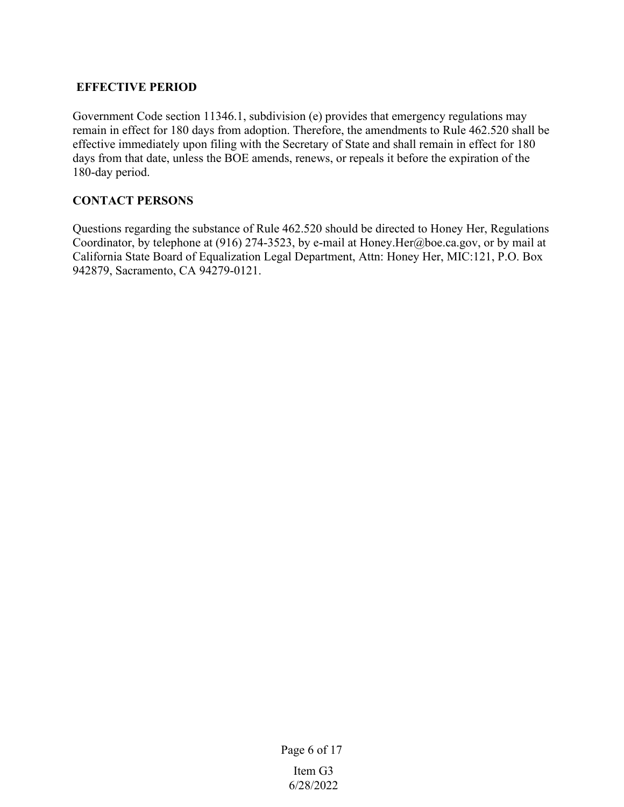## **EFFECTIVE PERIOD**

Government Code section 11346.1, subdivision (e) provides that emergency regulations may remain in effect for 180 days from adoption. Therefore, the amendments to Rule 462.520 shall be effective immediately upon filing with the Secretary of State and shall remain in effect for 180 days from that date, unless the BOE amends, renews, or repeals it before the expiration of the 180-day period.

## **CONTACT PERSONS**

Questions regarding the substance of Rule 462.520 should be directed to Honey Her, Regulations Coordinator, by telephone at (916) 274-3523, by e-mail at Honey.Her@boe.ca.gov, or by mail at California State Board of Equalization Legal Department, Attn: Honey Her, MIC:121, P.O. Box 942879, Sacramento, CA 94279-0121.

Page 6 of 17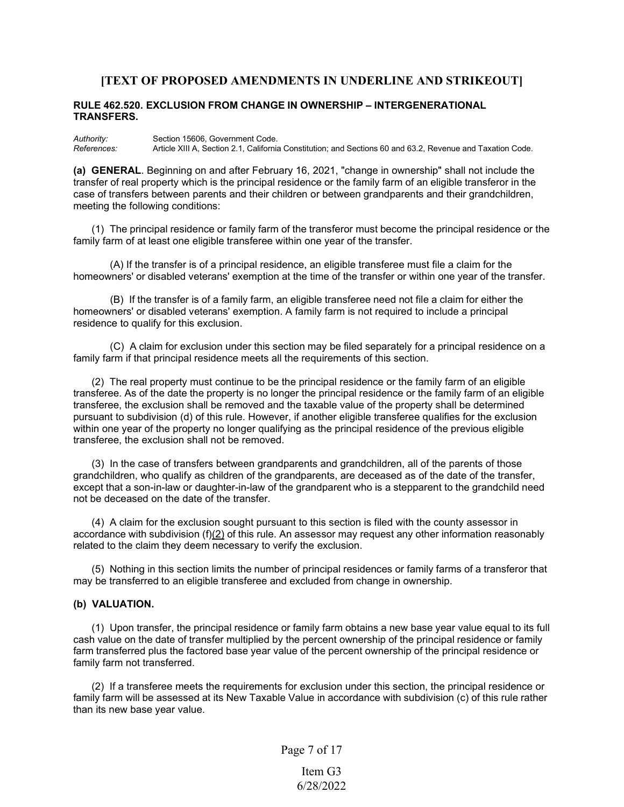### **[TEXT OF PROPOSED AMENDMENTS IN UNDERLINE AND STRIKEOUT]**

#### **RULE 462.520. EXCLUSION FROM CHANGE IN OWNERSHIP – INTERGENERATIONAL TRANSFERS.**

*Authority:* Section 15606, Government Code. *References:* Article XIII A, Section 2.1, California Constitution; and Sections 60 and 63.2, Revenue and Taxation Code.

**(a) GENERAL**. Beginning on and after February 16, 2021, "change in ownership" shall not include the transfer of real property which is the principal residence or the family farm of an eligible transferor in the case of transfers between parents and their children or between grandparents and their grandchildren, meeting the following conditions:

(1) The principal residence or family farm of the transferor must become the principal residence or the family farm of at least one eligible transferee within one year of the transfer.

(A) If the transfer is of a principal residence, an eligible transferee must file a claim for the homeowners' or disabled veterans' exemption at the time of the transfer or within one year of the transfer.

(B) If the transfer is of a family farm, an eligible transferee need not file a claim for either the homeowners' or disabled veterans' exemption. A family farm is not required to include a principal residence to qualify for this exclusion.

(C) A claim for exclusion under this section may be filed separately for a principal residence on a family farm if that principal residence meets all the requirements of this section.

(2) The real property must continue to be the principal residence or the family farm of an eligible transferee. As of the date the property is no longer the principal residence or the family farm of an eligible transferee, the exclusion shall be removed and the taxable value of the property shall be determined pursuant to subdivision (d) of this rule. However, if another eligible transferee qualifies for the exclusion within one year of the property no longer qualifying as the principal residence of the previous eligible transferee, the exclusion shall not be removed.

(3) In the case of transfers between grandparents and grandchildren, all of the parents of those grandchildren, who qualify as children of the grandparents, are deceased as of the date of the transfer, except that a son-in-law or daughter-in-law of the grandparent who is a stepparent to the grandchild need not be deceased on the date of the transfer.

(4) A claim for the exclusion sought pursuant to this section is filed with the county assessor in accordance with subdivision (f)(2) of this rule. An assessor may request any other information reasonably related to the claim they deem necessary to verify the exclusion.

(5) Nothing in this section limits the number of principal residences or family farms of a transferor that may be transferred to an eligible transferee and excluded from change in ownership.

### **(b) VALUATION.**

(1) Upon transfer, the principal residence or family farm obtains a new base year value equal to its full cash value on the date of transfer multiplied by the percent ownership of the principal residence or family farm transferred plus the factored base year value of the percent ownership of the principal residence or family farm not transferred.

(2) If a transferee meets the requirements for exclusion under this section, the principal residence or family farm will be assessed at its New Taxable Value in accordance with subdivision (c) of this rule rather than its new base year value.

Page 7 of 17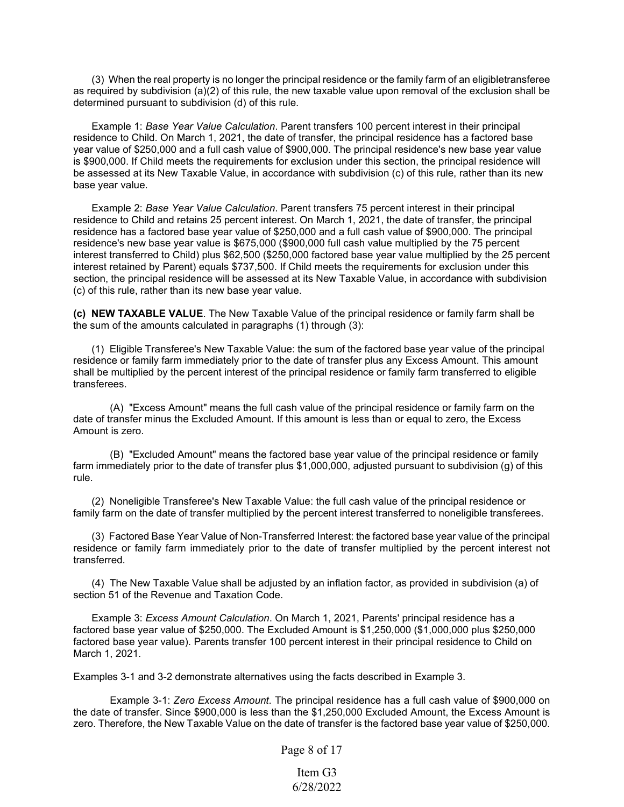(3) When the real property is no longer the principal residence or the family farm of an eligibletransferee as required by subdivision (a)(2) of this rule, the new taxable value upon removal of the exclusion shall be determined pursuant to subdivision (d) of this rule.

Example 1: *Base Year Value Calculation*. Parent transfers 100 percent interest in their principal residence to Child. On March 1, 2021, the date of transfer, the principal residence has a factored base year value of \$250,000 and a full cash value of \$900,000. The principal residence's new base year value is \$900,000. If Child meets the requirements for exclusion under this section, the principal residence will be assessed at its New Taxable Value, in accordance with subdivision (c) of this rule, rather than its new base year value.

Example 2: *Base Year Value Calculation*. Parent transfers 75 percent interest in their principal residence to Child and retains 25 percent interest. On March 1, 2021, the date of transfer, the principal residence has a factored base year value of \$250,000 and a full cash value of \$900,000. The principal residence's new base year value is \$675,000 (\$900,000 full cash value multiplied by the 75 percent interest transferred to Child) plus \$62,500 (\$250,000 factored base year value multiplied by the 25 percent interest retained by Parent) equals \$737,500. If Child meets the requirements for exclusion under this section, the principal residence will be assessed at its New Taxable Value, in accordance with subdivision (c) of this rule, rather than its new base year value.

**(c) NEW TAXABLE VALUE**. The New Taxable Value of the principal residence or family farm shall be the sum of the amounts calculated in paragraphs (1) through (3):

(1) Eligible Transferee's New Taxable Value: the sum of the factored base year value of the principal residence or family farm immediately prior to the date of transfer plus any Excess Amount. This amount shall be multiplied by the percent interest of the principal residence or family farm transferred to eligible transferees.

(A) "Excess Amount" means the full cash value of the principal residence or family farm on the date of transfer minus the Excluded Amount. If this amount is less than or equal to zero, the Excess Amount is zero.

(B) "Excluded Amount" means the factored base year value of the principal residence or family farm immediately prior to the date of transfer plus \$1,000,000, adjusted pursuant to subdivision (g) of this rule.

(2) Noneligible Transferee's New Taxable Value: the full cash value of the principal residence or family farm on the date of transfer multiplied by the percent interest transferred to noneligible transferees.

(3) Factored Base Year Value of Non-Transferred Interest: the factored base year value of the principal residence or family farm immediately prior to the date of transfer multiplied by the percent interest not transferred.

(4) The New Taxable Value shall be adjusted by an inflation factor, as provided in subdivision (a) of section 51 of the Revenue and Taxation Code.

Example 3: *Excess Amount Calculation*. On March 1, 2021, Parents' principal residence has a factored base year value of \$250,000. The Excluded Amount is \$1,250,000 (\$1,000,000 plus \$250,000 factored base year value). Parents transfer 100 percent interest in their principal residence to Child on March 1, 2021.

Examples 3-1 and 3-2 demonstrate alternatives using the facts described in Example 3.

Example 3-1: *Zero Excess Amount*. The principal residence has a full cash value of \$900,000 on the date of transfer. Since \$900,000 is less than the \$1,250,000 Excluded Amount, the Excess Amount is zero. Therefore, the New Taxable Value on the date of transfer is the factored base year value of \$250,000.

Page 8 of 17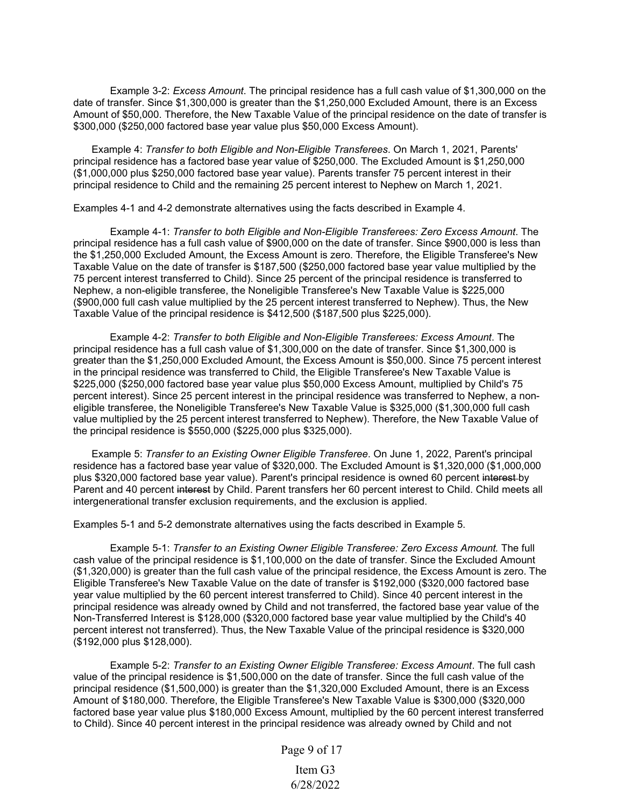Example 3-2: *Excess Amount*. The principal residence has a full cash value of \$1,300,000 on the date of transfer. Since \$1,300,000 is greater than the \$1,250,000 Excluded Amount, there is an Excess Amount of \$50,000. Therefore, the New Taxable Value of the principal residence on the date of transfer is \$300,000 (\$250,000 factored base year value plus \$50,000 Excess Amount).

Example 4: *Transfer to both Eligible and Non-Eligible Transferees*. On March 1, 2021, Parents' principal residence has a factored base year value of \$250,000. The Excluded Amount is \$1,250,000 (\$1,000,000 plus \$250,000 factored base year value). Parents transfer 75 percent interest in their principal residence to Child and the remaining 25 percent interest to Nephew on March 1, 2021.

Examples 4-1 and 4-2 demonstrate alternatives using the facts described in Example 4.

Example 4-1: *Transfer to both Eligible and Non-Eligible Transferees: Zero Excess Amount*. The principal residence has a full cash value of \$900,000 on the date of transfer. Since \$900,000 is less than the \$1,250,000 Excluded Amount, the Excess Amount is zero. Therefore, the Eligible Transferee's New Taxable Value on the date of transfer is \$187,500 (\$250,000 factored base year value multiplied by the 75 percent interest transferred to Child). Since 25 percent of the principal residence is transferred to Nephew, a non-eligible transferee, the Noneligible Transferee's New Taxable Value is \$225,000 (\$900,000 full cash value multiplied by the 25 percent interest transferred to Nephew). Thus, the New Taxable Value of the principal residence is \$412,500 (\$187,500 plus \$225,000).

Example 4-2: *Transfer to both Eligible and Non-Eligible Transferees: Excess Amount*. The principal residence has a full cash value of \$1,300,000 on the date of transfer. Since \$1,300,000 is greater than the \$1,250,000 Excluded Amount, the Excess Amount is \$50,000. Since 75 percent interest in the principal residence was transferred to Child, the Eligible Transferee's New Taxable Value is \$225,000 (\$250,000 factored base year value plus \$50,000 Excess Amount, multiplied by Child's 75 percent interest). Since 25 percent interest in the principal residence was transferred to Nephew, a noneligible transferee, the Noneligible Transferee's New Taxable Value is \$325,000 (\$1,300,000 full cash value multiplied by the 25 percent interest transferred to Nephew). Therefore, the New Taxable Value of the principal residence is \$550,000 (\$225,000 plus \$325,000).

Example 5: *Transfer to an Existing Owner Eligible Transferee*. On June 1, 2022, Parent's principal residence has a factored base year value of \$320,000. The Excluded Amount is \$1,320,000 (\$1,000,000 plus \$320,000 factored base year value). Parent's principal residence is owned 60 percent interest by Parent and 40 percent interest by Child. Parent transfers her 60 percent interest to Child. Child meets all intergenerational transfer exclusion requirements, and the exclusion is applied.

Examples 5-1 and 5-2 demonstrate alternatives using the facts described in Example 5.

Example 5-1: *Transfer to an Existing Owner Eligible Transferee: Zero Excess Amount.* The full cash value of the principal residence is \$1,100,000 on the date of transfer. Since the Excluded Amount (\$1,320,000) is greater than the full cash value of the principal residence, the Excess Amount is zero. The Eligible Transferee's New Taxable Value on the date of transfer is \$192,000 (\$320,000 factored base year value multiplied by the 60 percent interest transferred to Child). Since 40 percent interest in the principal residence was already owned by Child and not transferred, the factored base year value of the Non-Transferred Interest is \$128,000 (\$320,000 factored base year value multiplied by the Child's 40 percent interest not transferred). Thus, the New Taxable Value of the principal residence is \$320,000 (\$192,000 plus \$128,000).

Example 5-2: *Transfer to an Existing Owner Eligible Transferee: Excess Amount*. The full cash value of the principal residence is \$1,500,000 on the date of transfer. Since the full cash value of the principal residence (\$1,500,000) is greater than the \$1,320,000 Excluded Amount, there is an Excess Amount of \$180,000. Therefore, the Eligible Transferee's New Taxable Value is \$300,000 (\$320,000 factored base year value plus \$180,000 Excess Amount, multiplied by the 60 percent interest transferred to Child). Since 40 percent interest in the principal residence was already owned by Child and not

Page 9 of 17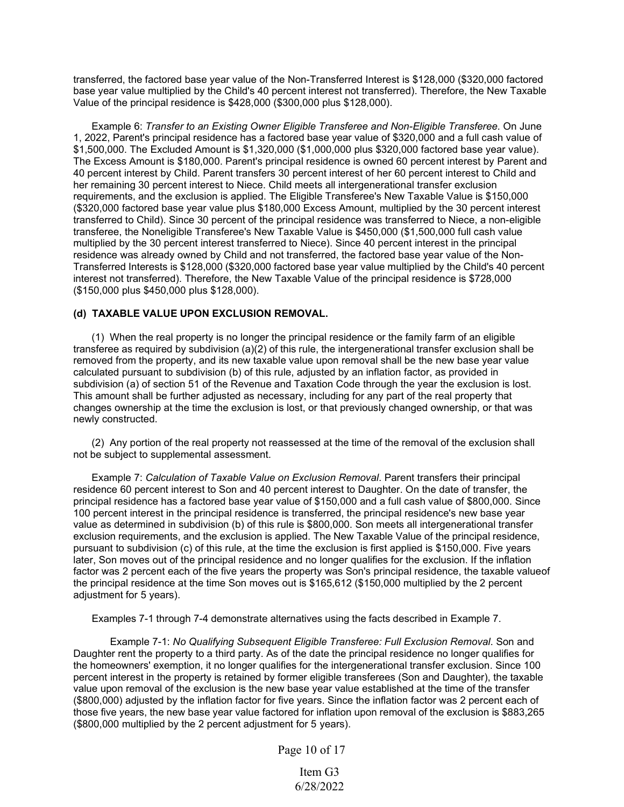transferred, the factored base year value of the Non-Transferred Interest is \$128,000 (\$320,000 factored base year value multiplied by the Child's 40 percent interest not transferred). Therefore, the New Taxable Value of the principal residence is \$428,000 (\$300,000 plus \$128,000).

Example 6: *Transfer to an Existing Owner Eligible Transferee and Non-Eligible Transferee*. On June 1, 2022, Parent's principal residence has a factored base year value of \$320,000 and a full cash value of \$1,500,000. The Excluded Amount is \$1,320,000 (\$1,000,000 plus \$320,000 factored base year value). The Excess Amount is \$180,000. Parent's principal residence is owned 60 percent interest by Parent and 40 percent interest by Child. Parent transfers 30 percent interest of her 60 percent interest to Child and her remaining 30 percent interest to Niece. Child meets all intergenerational transfer exclusion requirements, and the exclusion is applied. The Eligible Transferee's New Taxable Value is \$150,000 (\$320,000 factored base year value plus \$180,000 Excess Amount, multiplied by the 30 percent interest transferred to Child). Since 30 percent of the principal residence was transferred to Niece, a non-eligible transferee, the Noneligible Transferee's New Taxable Value is \$450,000 (\$1,500,000 full cash value multiplied by the 30 percent interest transferred to Niece). Since 40 percent interest in the principal residence was already owned by Child and not transferred, the factored base year value of the Non-Transferred Interests is \$128,000 (\$320,000 factored base year value multiplied by the Child's 40 percent interest not transferred). Therefore, the New Taxable Value of the principal residence is \$728,000 (\$150,000 plus \$450,000 plus \$128,000).

### **(d) TAXABLE VALUE UPON EXCLUSION REMOVAL.**

(1) When the real property is no longer the principal residence or the family farm of an eligible transferee as required by subdivision (a)(2) of this rule, the intergenerational transfer exclusion shall be removed from the property, and its new taxable value upon removal shall be the new base year value calculated pursuant to subdivision (b) of this rule, adjusted by an inflation factor, as provided in subdivision (a) of section 51 of the Revenue and Taxation Code through the year the exclusion is lost. This amount shall be further adjusted as necessary, including for any part of the real property that changes ownership at the time the exclusion is lost, or that previously changed ownership, or that was newly constructed.

(2) Any portion of the real property not reassessed at the time of the removal of the exclusion shall not be subject to supplemental assessment.

Example 7: *Calculation of Taxable Value on Exclusion Removal*. Parent transfers their principal residence 60 percent interest to Son and 40 percent interest to Daughter. On the date of transfer, the principal residence has a factored base year value of \$150,000 and a full cash value of \$800,000. Since 100 percent interest in the principal residence is transferred, the principal residence's new base year value as determined in subdivision (b) of this rule is \$800,000. Son meets all intergenerational transfer exclusion requirements, and the exclusion is applied. The New Taxable Value of the principal residence, pursuant to subdivision (c) of this rule, at the time the exclusion is first applied is \$150,000. Five years later, Son moves out of the principal residence and no longer qualifies for the exclusion. If the inflation factor was 2 percent each of the five years the property was Son's principal residence, the taxable valueof the principal residence at the time Son moves out is \$165,612 (\$150,000 multiplied by the 2 percent adjustment for 5 years).

Examples 7-1 through 7-4 demonstrate alternatives using the facts described in Example 7.

Example 7-1: *No Qualifying Subsequent Eligible Transferee: Full Exclusion Removal*. Son and Daughter rent the property to a third party. As of the date the principal residence no longer qualifies for the homeowners' exemption, it no longer qualifies for the intergenerational transfer exclusion. Since 100 percent interest in the property is retained by former eligible transferees (Son and Daughter), the taxable value upon removal of the exclusion is the new base year value established at the time of the transfer (\$800,000) adjusted by the inflation factor for five years. Since the inflation factor was 2 percent each of those five years, the new base year value factored for inflation upon removal of the exclusion is \$883,265 (\$800,000 multiplied by the 2 percent adjustment for 5 years).

Page 10 of 17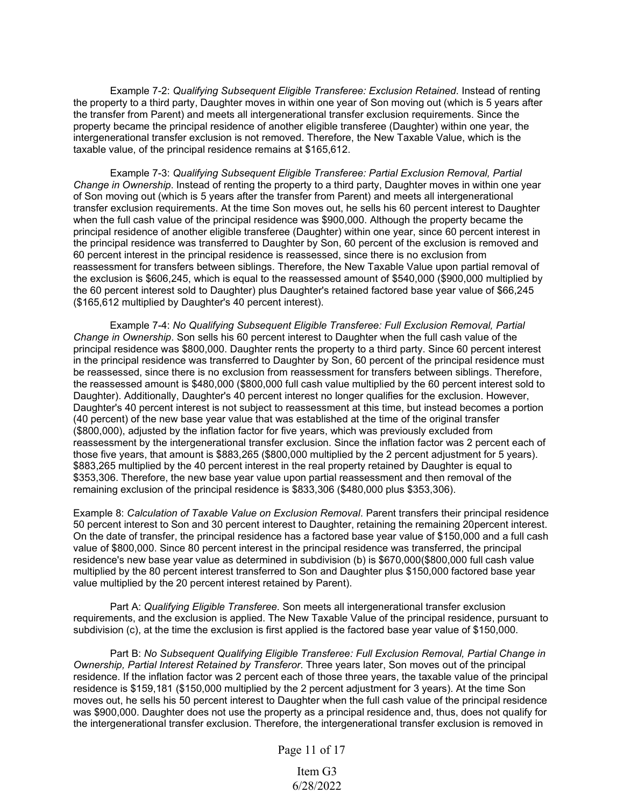Example 7-2: *Qualifying Subsequent Eligible Transferee: Exclusion Retained*. Instead of renting the property to a third party, Daughter moves in within one year of Son moving out (which is 5 years after the transfer from Parent) and meets all intergenerational transfer exclusion requirements. Since the property became the principal residence of another eligible transferee (Daughter) within one year, the intergenerational transfer exclusion is not removed. Therefore, the New Taxable Value, which is the taxable value, of the principal residence remains at \$165,612.

Example 7-3: *Qualifying Subsequent Eligible Transferee: Partial Exclusion Removal, Partial Change in Ownership*. Instead of renting the property to a third party, Daughter moves in within one year of Son moving out (which is 5 years after the transfer from Parent) and meets all intergenerational transfer exclusion requirements. At the time Son moves out, he sells his 60 percent interest to Daughter when the full cash value of the principal residence was \$900,000. Although the property became the principal residence of another eligible transferee (Daughter) within one year, since 60 percent interest in the principal residence was transferred to Daughter by Son, 60 percent of the exclusion is removed and 60 percent interest in the principal residence is reassessed, since there is no exclusion from reassessment for transfers between siblings. Therefore, the New Taxable Value upon partial removal of the exclusion is \$606,245, which is equal to the reassessed amount of \$540,000 (\$900,000 multiplied by the 60 percent interest sold to Daughter) plus Daughter's retained factored base year value of \$66,245 (\$165,612 multiplied by Daughter's 40 percent interest).

Example 7-4: *No Qualifying Subsequent Eligible Transferee: Full Exclusion Removal, Partial Change in Ownership*. Son sells his 60 percent interest to Daughter when the full cash value of the principal residence was \$800,000. Daughter rents the property to a third party. Since 60 percent interest in the principal residence was transferred to Daughter by Son, 60 percent of the principal residence must be reassessed, since there is no exclusion from reassessment for transfers between siblings. Therefore, the reassessed amount is \$480,000 (\$800,000 full cash value multiplied by the 60 percent interest sold to Daughter). Additionally, Daughter's 40 percent interest no longer qualifies for the exclusion. However, Daughter's 40 percent interest is not subject to reassessment at this time, but instead becomes a portion (40 percent) of the new base year value that was established at the time of the original transfer (\$800,000), adjusted by the inflation factor for five years, which was previously excluded from reassessment by the intergenerational transfer exclusion. Since the inflation factor was 2 percent each of those five years, that amount is \$883,265 (\$800,000 multiplied by the 2 percent adjustment for 5 years). \$883,265 multiplied by the 40 percent interest in the real property retained by Daughter is equal to \$353,306. Therefore, the new base year value upon partial reassessment and then removal of the remaining exclusion of the principal residence is \$833,306 (\$480,000 plus \$353,306).

Example 8: *Calculation of Taxable Value on Exclusion Removal*. Parent transfers their principal residence 50 percent interest to Son and 30 percent interest to Daughter, retaining the remaining 20percent interest. On the date of transfer, the principal residence has a factored base year value of \$150,000 and a full cash value of \$800,000. Since 80 percent interest in the principal residence was transferred, the principal residence's new base year value as determined in subdivision (b) is \$670,000(\$800,000 full cash value multiplied by the 80 percent interest transferred to Son and Daughter plus \$150,000 factored base year value multiplied by the 20 percent interest retained by Parent).

Part A: *Qualifying Eligible Transferee*. Son meets all intergenerational transfer exclusion requirements, and the exclusion is applied. The New Taxable Value of the principal residence, pursuant to subdivision (c), at the time the exclusion is first applied is the factored base year value of \$150,000.

Part B: *No Subsequent Qualifying Eligible Transferee: Full Exclusion Removal, Partial Change in Ownership, Partial Interest Retained by Transferor*. Three years later, Son moves out of the principal residence. If the inflation factor was 2 percent each of those three years, the taxable value of the principal residence is \$159,181 (\$150,000 multiplied by the 2 percent adjustment for 3 years). At the time Son moves out, he sells his 50 percent interest to Daughter when the full cash value of the principal residence was \$900,000. Daughter does not use the property as a principal residence and, thus, does not qualify for the intergenerational transfer exclusion. Therefore, the intergenerational transfer exclusion is removed in

Page 11 of 17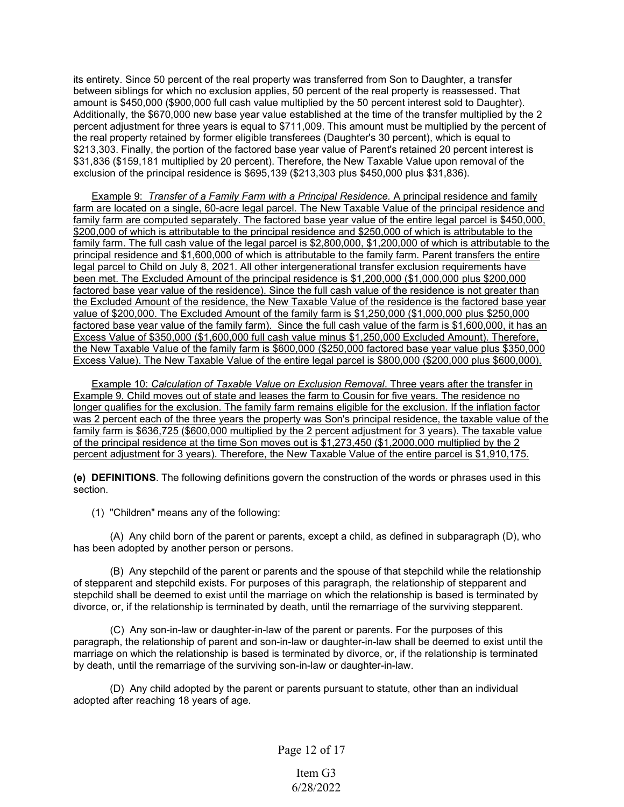its entirety. Since 50 percent of the real property was transferred from Son to Daughter, a transfer between siblings for which no exclusion applies, 50 percent of the real property is reassessed. That amount is \$450,000 (\$900,000 full cash value multiplied by the 50 percent interest sold to Daughter). Additionally, the \$670,000 new base year value established at the time of the transfer multiplied by the 2 percent adjustment for three years is equal to \$711,009. This amount must be multiplied by the percent of the real property retained by former eligible transferees (Daughter's 30 percent), which is equal to \$213,303. Finally, the portion of the factored base year value of Parent's retained 20 percent interest is \$31,836 (\$159,181 multiplied by 20 percent). Therefore, the New Taxable Value upon removal of the exclusion of the principal residence is \$695,139 (\$213,303 plus \$450,000 plus \$31,836).

Example 9: *Transfer of a Family Farm with a Principal Residence.* A principal residence and family farm are located on a single, 60-acre legal parcel. The New Taxable Value of the principal residence and family farm are computed separately. The factored base year value of the entire legal parcel is \$450,000, \$200,000 of which is attributable to the principal residence and \$250,000 of which is attributable to the family farm. The full cash value of the legal parcel is \$2,800,000, \$1,200,000 of which is attributable to the principal residence and \$1,600,000 of which is attributable to the family farm. Parent transfers the entire legal parcel to Child on July 8, 2021. All other intergenerational transfer exclusion requirements have been met. The Excluded Amount of the principal residence is \$1,200,000 (\$1,000,000 plus \$200,000 factored base year value of the residence). Since the full cash value of the residence is not greater than the Excluded Amount of the residence, the New Taxable Value of the residence is the factored base year value of \$200,000. The Excluded Amount of the family farm is \$1,250,000 (\$1,000,000 plus \$250,000 factored base year value of the family farm). Since the full cash value of the farm is \$1,600,000, it has an Excess Value of \$350,000 (\$1,600,000 full cash value minus \$1,250,000 Excluded Amount). Therefore, the New Taxable Value of the family farm is \$600,000 (\$250,000 factored base year value plus \$350,000 Excess Value). The New Taxable Value of the entire legal parcel is \$800,000 (\$200,000 plus \$600,000).

Example 10: *Calculation of Taxable Value on Exclusion Removal*. Three years after the transfer in Example 9, Child moves out of state and leases the farm to Cousin for five years. The residence no longer qualifies for the exclusion. The family farm remains eligible for the exclusion. If the inflation factor was 2 percent each of the three years the property was Son's principal residence, the taxable value of the family farm is \$636,725 (\$600,000 multiplied by the 2 percent adjustment for 3 years). The taxable value of the principal residence at the time Son moves out is \$1,273,450 (\$1,2000,000 multiplied by the 2 percent adjustment for 3 years). Therefore, the New Taxable Value of the entire parcel is \$1,910,175.

**(e) DEFINITIONS**. The following definitions govern the construction of the words or phrases used in this section.

(1) "Children" means any of the following:

(A) Any child born of the parent or parents, except a child, as defined in subparagraph (D), who has been adopted by another person or persons.

(B) Any stepchild of the parent or parents and the spouse of that stepchild while the relationship of stepparent and stepchild exists. For purposes of this paragraph, the relationship of stepparent and stepchild shall be deemed to exist until the marriage on which the relationship is based is terminated by divorce, or, if the relationship is terminated by death, until the remarriage of the surviving stepparent.

(C) Any son-in-law or daughter-in-law of the parent or parents. For the purposes of this paragraph, the relationship of parent and son-in-law or daughter-in-law shall be deemed to exist until the marriage on which the relationship is based is terminated by divorce, or, if the relationship is terminated by death, until the remarriage of the surviving son-in-law or daughter-in-law.

(D) Any child adopted by the parent or parents pursuant to statute, other than an individual adopted after reaching 18 years of age.

Page 12 of 17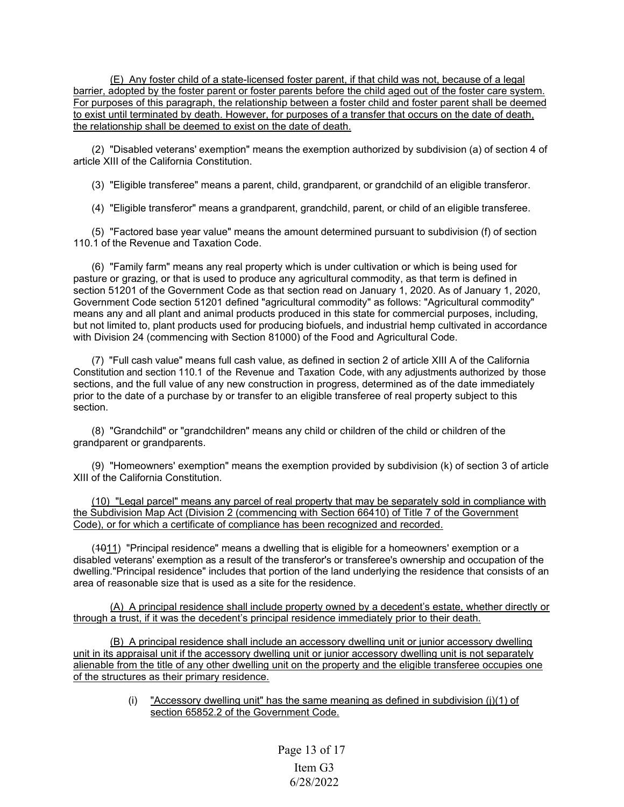(E) Any foster child of a state-licensed foster parent, if that child was not, because of a legal barrier, adopted by the foster parent or foster parents before the child aged out of the foster care system. For purposes of this paragraph, the relationship between a foster child and foster parent shall be deemed to exist until terminated by death. However, for purposes of a transfer that occurs on the date of death, the relationship shall be deemed to exist on the date of death.

(2) "Disabled veterans' exemption" means the exemption authorized by subdivision (a) of section 4 of article XIII of the California Constitution.

(3) "Eligible transferee" means a parent, child, grandparent, or grandchild of an eligible transferor.

(4) "Eligible transferor" means a grandparent, grandchild, parent, or child of an eligible transferee.

(5) "Factored base year value" means the amount determined pursuant to subdivision (f) of section 110.1 of the Revenue and Taxation Code.

(6) "Family farm" means any real property which is under cultivation or which is being used for pasture or grazing, or that is used to produce any agricultural commodity, as that term is defined in section 51201 of the Government Code as that section read on January 1, 2020. As of January 1, 2020, Government Code section 51201 defined "agricultural commodity" as follows: "Agricultural commodity" means any and all plant and animal products produced in this state for commercial purposes, including, but not limited to, plant products used for producing biofuels, and industrial hemp cultivated in accordance with Division 24 (commencing with Section 81000) of the Food and Agricultural Code.

(7) "Full cash value" means full cash value, as defined in section 2 of article XIII A of the California Constitution and section 110.1 of the Revenue and Taxation Code, with any adjustments authorized by those sections, and the full value of any new construction in progress, determined as of the date immediately prior to the date of a purchase by or transfer to an eligible transferee of real property subject to this section.

(8) "Grandchild" or "grandchildren" means any child or children of the child or children of the grandparent or grandparents.

(9) "Homeowners' exemption" means the exemption provided by subdivision (k) of section 3 of article XIII of the California Constitution.

(10) "Legal parcel" means any parcel of real property that may be separately sold in compliance with the Subdivision Map Act (Division 2 (commencing with Section 66410) of Title 7 of the Government Code), or for which a certificate of compliance has been recognized and recorded.

(1011) "Principal residence" means a dwelling that is eligible for a homeowners' exemption or a disabled veterans' exemption as a result of the transferor's or transferee's ownership and occupation of the dwelling."Principal residence" includes that portion of the land underlying the residence that consists of an area of reasonable size that is used as a site for the residence.

(A) A principal residence shall include property owned by a decedent's estate, whether directly or through a trust, if it was the decedent's principal residence immediately prior to their death.

(B) A principal residence shall include an accessory dwelling unit or junior accessory dwelling unit in its appraisal unit if the accessory dwelling unit or junior accessory dwelling unit is not separately alienable from the title of any other dwelling unit on the property and the eligible transferee occupies one of the structures as their primary residence.

> (i) "Accessory dwelling unit" has the same meaning as defined in subdivision (j)(1) of section 65852.2 of the Government Code.

> > Page 13 of 17 Item G3 6/28/2022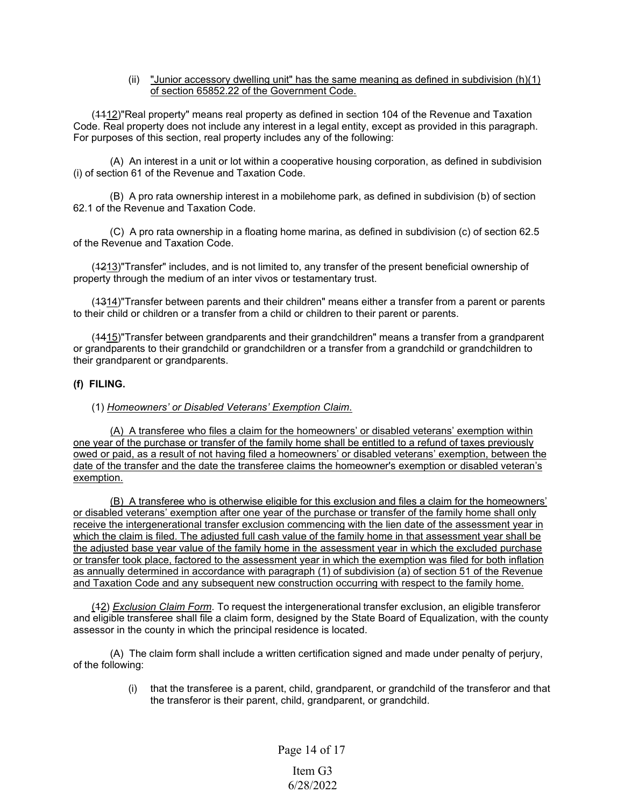### (ii) "Junior accessory dwelling unit" has the same meaning as defined in subdivision  $(h)(1)$ of section 65852.22 of the Government Code.

(1112)"Real property" means real property as defined in section 104 of the Revenue and Taxation Code. Real property does not include any interest in a legal entity, except as provided in this paragraph. For purposes of this section, real property includes any of the following:

(A) An interest in a unit or lot within a cooperative housing corporation, as defined in subdivision (i) of section 61 of the Revenue and Taxation Code.

(B) A pro rata ownership interest in a mobilehome park, as defined in subdivision (b) of section 62.1 of the Revenue and Taxation Code.

(C) A pro rata ownership in a floating home marina, as defined in subdivision (c) of section 62.5 of the Revenue and Taxation Code.

(4213)"Transfer" includes, and is not limited to, any transfer of the present beneficial ownership of property through the medium of an inter vivos or testamentary trust.

(4314)"Transfer between parents and their children" means either a transfer from a parent or parents to their child or children or a transfer from a child or children to their parent or parents.

(1415)"Transfer between grandparents and their grandchildren" means a transfer from a grandparent or grandparents to their grandchild or grandchildren or a transfer from a grandchild or grandchildren to their grandparent or grandparents.

### **(f) FILING.**

### (1) *Homeowners' or Disabled Veterans' Exemption Claim*.

(A) A transferee who files a claim for the homeowners' or disabled veterans' exemption within one year of the purchase or transfer of the family home shall be entitled to a refund of taxes previously owed or paid, as a result of not having filed a homeowners' or disabled veterans' exemption, between the date of the transfer and the date the transferee claims the homeowner's exemption or disabled veteran's exemption.

(B) A transferee who is otherwise eligible for this exclusion and files a claim for the homeowners' or disabled veterans' exemption after one year of the purchase or transfer of the family home shall only receive the intergenerational transfer exclusion commencing with the lien date of the assessment year in which the claim is filed. The adjusted full cash value of the family home in that assessment year shall be the adjusted base year value of the family home in the assessment year in which the excluded purchase or transfer took place, factored to the assessment year in which the exemption was filed for both inflation as annually determined in accordance with paragraph (1) of subdivision (a) of section 51 of the Revenue and Taxation Code and any subsequent new construction occurring with respect to the family home.

(12) *Exclusion Claim Form*. To request the intergenerational transfer exclusion, an eligible transferor and eligible transferee shall file a claim form, designed by the State Board of Equalization, with the county assessor in the county in which the principal residence is located.

(A) The claim form shall include a written certification signed and made under penalty of perjury, of the following:

> (i) that the transferee is a parent, child, grandparent, or grandchild of the transferor and that the transferor is their parent, child, grandparent, or grandchild.

> > Page 14 of 17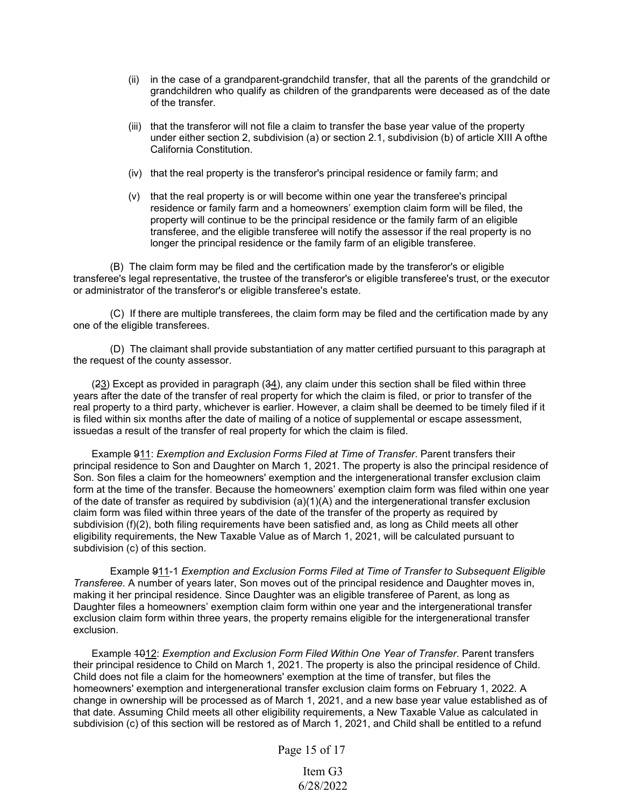- (ii) in the case of a grandparent-grandchild transfer, that all the parents of the grandchild or grandchildren who qualify as children of the grandparents were deceased as of the date of the transfer.
- (iii) that the transferor will not file a claim to transfer the base year value of the property under either section 2, subdivision (a) or section 2.1, subdivision (b) of article XIII A ofthe California Constitution.
- (iv) that the real property is the transferor's principal residence or family farm; and
- (v) that the real property is or will become within one year the transferee's principal residence or family farm and a homeowners' exemption claim form will be filed, the property will continue to be the principal residence or the family farm of an eligible transferee, and the eligible transferee will notify the assessor if the real property is no longer the principal residence or the family farm of an eligible transferee.

(B) The claim form may be filed and the certification made by the transferor's or eligible transferee's legal representative, the trustee of the transferor's or eligible transferee's trust, or the executor or administrator of the transferor's or eligible transferee's estate.

(C) If there are multiple transferees, the claim form may be filed and the certification made by any one of the eligible transferees.

(D) The claimant shall provide substantiation of any matter certified pursuant to this paragraph at the request of the county assessor.

(23) Except as provided in paragraph (34), any claim under this section shall be filed within three years after the date of the transfer of real property for which the claim is filed, or prior to transfer of the real property to a third party, whichever is earlier. However, a claim shall be deemed to be timely filed if it is filed within six months after the date of mailing of a notice of supplemental or escape assessment, issuedas a result of the transfer of real property for which the claim is filed.

Example 911: *Exemption and Exclusion Forms Filed at Time of Transfer*. Parent transfers their principal residence to Son and Daughter on March 1, 2021. The property is also the principal residence of Son. Son files a claim for the homeowners' exemption and the intergenerational transfer exclusion claim form at the time of the transfer. Because the homeowners' exemption claim form was filed within one year of the date of transfer as required by subdivision (a)(1)(A) and the intergenerational transfer exclusion claim form was filed within three years of the date of the transfer of the property as required by subdivision (f)(2), both filing requirements have been satisfied and, as long as Child meets all other eligibility requirements, the New Taxable Value as of March 1, 2021, will be calculated pursuant to subdivision (c) of this section.

Example 911-1 *Exemption and Exclusion Forms Filed at Time of Transfer to Subsequent Eligible Transferee*. A number of years later, Son moves out of the principal residence and Daughter moves in, making it her principal residence. Since Daughter was an eligible transferee of Parent, as long as Daughter files a homeowners' exemption claim form within one year and the intergenerational transfer exclusion claim form within three years, the property remains eligible for the intergenerational transfer exclusion.

Example 1012: *Exemption and Exclusion Form Filed Within One Year of Transfer*. Parent transfers their principal residence to Child on March 1, 2021. The property is also the principal residence of Child. Child does not file a claim for the homeowners' exemption at the time of transfer, but files the homeowners' exemption and intergenerational transfer exclusion claim forms on February 1, 2022. A change in ownership will be processed as of March 1, 2021, and a new base year value established as of that date. Assuming Child meets all other eligibility requirements, a New Taxable Value as calculated in subdivision (c) of this section will be restored as of March 1, 2021, and Child shall be entitled to a refund

Page 15 of 17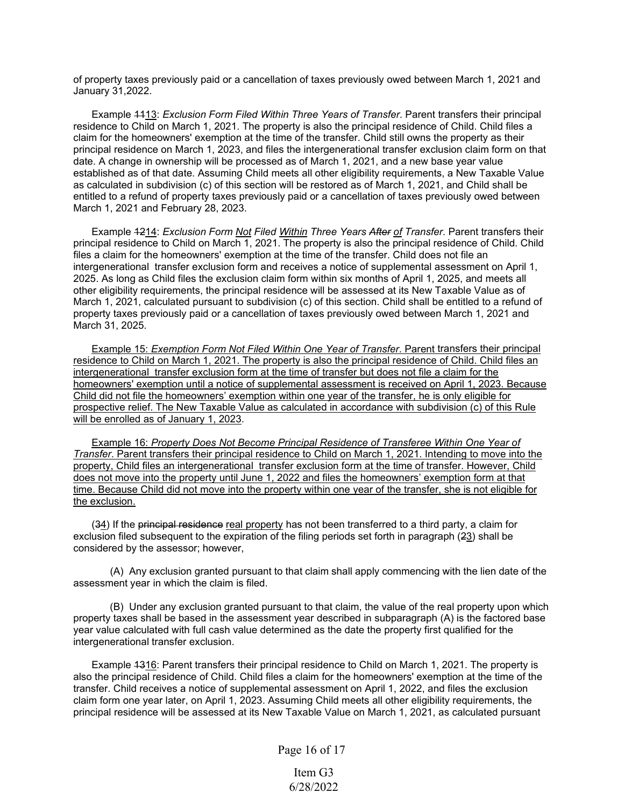of property taxes previously paid or a cancellation of taxes previously owed between March 1, 2021 and January 31,2022.

Example 1113: *Exclusion Form Filed Within Three Years of Transfer*. Parent transfers their principal residence to Child on March 1, 2021. The property is also the principal residence of Child. Child files a claim for the homeowners' exemption at the time of the transfer. Child still owns the property as their principal residence on March 1, 2023, and files the intergenerational transfer exclusion claim form on that date. A change in ownership will be processed as of March 1, 2021, and a new base year value established as of that date. Assuming Child meets all other eligibility requirements, a New Taxable Value as calculated in subdivision (c) of this section will be restored as of March 1, 2021, and Child shall be entitled to a refund of property taxes previously paid or a cancellation of taxes previously owed between March 1, 2021 and February 28, 2023.

Example 1214: *Exclusion Form Not Filed Within Three Years After of Transfer*. Parent transfers their principal residence to Child on March 1, 2021. The property is also the principal residence of Child. Child files a claim for the homeowners' exemption at the time of the transfer. Child does not file an intergenerational transfer exclusion form and receives a notice of supplemental assessment on April 1, 2025. As long as Child files the exclusion claim form within six months of April 1, 2025, and meets all other eligibility requirements, the principal residence will be assessed at its New Taxable Value as of March 1, 2021, calculated pursuant to subdivision (c) of this section. Child shall be entitled to a refund of property taxes previously paid or a cancellation of taxes previously owed between March 1, 2021 and March 31, 2025.

Example 15: *Exemption Form Not Filed Within One Year of Transfer*. Parent transfers their principal residence to Child on March 1, 2021. The property is also the principal residence of Child. Child files an intergenerational transfer exclusion form at the time of transfer but does not file a claim for the homeowners' exemption until a notice of supplemental assessment is received on April 1, 2023. Because Child did not file the homeowners' exemption within one year of the transfer, he is only eligible for prospective relief. The New Taxable Value as calculated in accordance with subdivision (c) of this Rule will be enrolled as of January 1, 2023.

Example 16: *Property Does Not Become Principal Residence of Transferee Within One Year of Transfer*. Parent transfers their principal residence to Child on March 1, 2021. Intending to move into the property, Child files an intergenerational transfer exclusion form at the time of transfer. However, Child does not move into the property until June 1, 2022 and files the homeowners' exemption form at that time. Because Child did not move into the property within one year of the transfer, she is not eligible for the exclusion.

(34) If the principal residence real property has not been transferred to a third party, a claim for exclusion filed subsequent to the expiration of the filing periods set forth in paragraph (23) shall be considered by the assessor; however,

(A) Any exclusion granted pursuant to that claim shall apply commencing with the lien date of the assessment year in which the claim is filed.

(B) Under any exclusion granted pursuant to that claim, the value of the real property upon which property taxes shall be based in the assessment year described in subparagraph (A) is the factored base year value calculated with full cash value determined as the date the property first qualified for the intergenerational transfer exclusion.

Example 4316: Parent transfers their principal residence to Child on March 1, 2021. The property is also the principal residence of Child. Child files a claim for the homeowners' exemption at the time of the transfer. Child receives a notice of supplemental assessment on April 1, 2022, and files the exclusion claim form one year later, on April 1, 2023. Assuming Child meets all other eligibility requirements, the principal residence will be assessed at its New Taxable Value on March 1, 2021, as calculated pursuant

Page 16 of 17